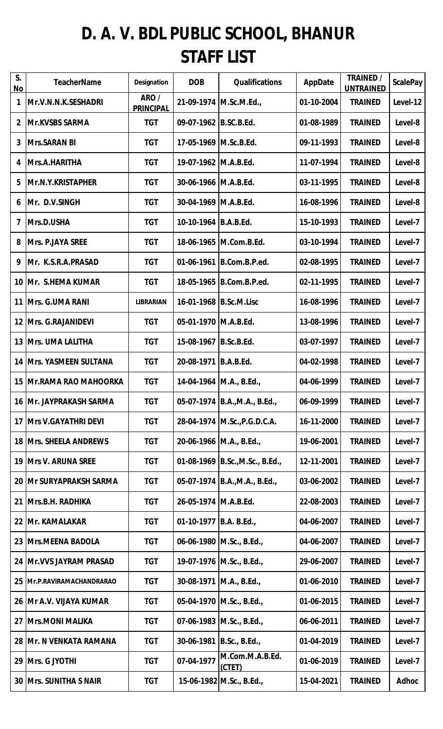## **D. A. V. BDL PUBLIC SCHOOL, BHANUR STAFF LIST**

| $S_{\cdot}$<br>No | <b>TeacherName</b>               | <b>Designation</b>        | <b>DOB</b>             | <b>Qualifications</b>           | <b>AppDate</b> | <b>TRAINED /</b><br><b>UNTRAINED</b> | <b>ScalePay</b> |
|-------------------|----------------------------------|---------------------------|------------------------|---------------------------------|----------------|--------------------------------------|-----------------|
| $\mathbf{1}$      | Mr.V.N.N.K.SESHADRI              | ARO /<br><b>PRINCIPAL</b> |                        | 21-09-1974 M.Sc.M.Ed.,          | 01-10-2004     | <b>TRAINED</b>                       | Level-12        |
| $\mathbf{2}$      | <b>Mr.KVSBS SARMA</b>            | <b>TGT</b>                | 09-07-1962 B.SC.B.Ed.  |                                 | 01-08-1989     | <b>TRAINED</b>                       | Level-8         |
| 3                 | <b>IMrs.SARAN BI</b>             | <b>TGT</b>                | 17-05-1969 M.Sc.B.Ed.  |                                 | 09-11-1993     | <b>TRAINED</b>                       | Level-8         |
| 4                 | <b>Mrs.A.HARITHA</b>             | <b>TGT</b>                | 19-07-1962 M.A.B.Ed.   |                                 | 11-07-1994     | <b>TRAINED</b>                       | Level-8         |
| 5                 | <b>Mr.N.Y.KRISTAPHER</b>         | <b>TGT</b>                | 30-06-1966   M.A.B.Ed. |                                 | 03-11-1995     | <b>TRAINED</b>                       | Level-8         |
| 6                 | <b>IMr. D.V.SINGH</b>            | <b>TGT</b>                | 30-04-1969 M.A.B.Ed.   |                                 | 16-08-1996     | <b>TRAINED</b>                       | Level-8         |
| $\overline{7}$    | Mrs.D.USHA                       | <b>TGT</b>                | 10-10-1964 B.A.B.Ed.   |                                 | 15-10-1993     | <b>TRAINED</b>                       | Level-7         |
| 8                 | <b>Mrs. P.JAYA SREE</b>          | <b>TGT</b>                |                        | 18-06-1965 M.Com.B.Ed.          | 03-10-1994     | <b>TRAINED</b>                       | Level-7         |
| 9                 | Mr. K.S.R.A.PRASAD               | <b>TGT</b>                |                        | 01-06-1961 B.Com.B.P.ed.        | 02-08-1995     | <b>TRAINED</b>                       | Level-7         |
|                   | 10   Mr. S.HEMA KUMAR            | <b>TGT</b>                |                        | 18-05-1965 B.Com.B.P.ed.        | 02-11-1995     | <b>TRAINED</b>                       | Level-7         |
|                   | 11   Mrs. G.UMA RANI             | <b>LIBRARIAN</b>          | 16-01-1968 B.Sc.M.Lisc |                                 | 16-08-1996     | <b>TRAINED</b>                       | Level-7         |
|                   | 12   Mrs. G. RAJANIDEVI          | <b>TGT</b>                | 05-01-1970   M.A.B.Ed. |                                 | 13-08-1996     | <b>TRAINED</b>                       | Level-7         |
|                   | 13   Mrs. UMA LALITHA            | <b>TGT</b>                | 15-08-1967 B.Sc.B.Ed.  |                                 | 03-07-1997     | <b>TRAINED</b>                       | Level-7         |
|                   | <b>14   Mrs. YASMEEN SULTANA</b> | <b>TGT</b>                | 20-08-1971 B.A.B.Ed.   |                                 | 04-02-1998     | <b>TRAINED</b>                       | Level-7         |
|                   | <b>15 IMr.RAMA RAO MAHOORKA</b>  | <b>TGT</b>                |                        | 14-04-1964 M.A., B.Ed.,         | 04-06-1999     | <b>TRAINED</b>                       | Level-7         |
|                   | <b>16   Mr. JAYPRAKASH SARMA</b> | <b>TGT</b>                |                        | 05-07-1974   B.A., M.A., B.Ed., | 06-09-1999     | <b>TRAINED</b>                       | Level-7         |
|                   | <b>17   Mrs V.GAYATHRI DEVI</b>  | <b>TGT</b>                |                        | 28-04-1974   M.Sc., P.G.D.C.A.  | 16-11-2000     | <b>TRAINED</b>                       | Level-7         |
|                   | <b>18   Mrs. SHEELA ANDREWS</b>  | <b>TGT</b>                |                        | 20-06-1966 M.A., B.Ed.,         | 19-06-2001     | <b>TRAINED</b>                       | Level-7         |
|                   | <b>19   Mrs V. ARUNA SREE</b>    | <b>TGT</b>                |                        | 01-08-1969 B.Sc., M.Sc., B.Ed., | 12-11-2001     | <b>TRAINED</b>                       | Level-7         |
|                   | <b>20   Mr SURYAPRAKSH SARMA</b> | <b>TGT</b>                |                        | 05-07-1974   B.A., M.A., B.Ed., | 03-06-2002     | <b>TRAINED</b>                       | Level-7         |
|                   | 21   Mrs.B.H. RADHIKA            | <b>TGT</b>                | 26-05-1974 M.A.B.Ed.   |                                 | 22-08-2003     | <b>TRAINED</b>                       | Level-7         |
|                   | 22 Mr. KAMALAKAR                 | <b>TGT</b>                | 01-10-1977 B.A. B.Ed., |                                 | 04-06-2007     | <b>TRAINED</b>                       | Level-7         |
|                   | 23   Mrs. MEENA BADOLA           | <b>TGT</b>                |                        | 06-06-1980 M.Sc., B.Ed.,        | 04-06-2007     | <b>TRAINED</b>                       | Level-7         |
|                   | 24   Mr. VVS JAYRAM PRASAD       | <b>TGT</b>                |                        | 19-07-1976   M.Sc., B.Ed.,      | 29-06-2007     | <b>TRAINED</b>                       | Level-7         |
|                   | 25   Mr.P.RAVIRAMACHANDRARAO     | <b>TGT</b>                |                        | 30-08-1971 M.A., B.Ed.,         | 01-06-2010     | <b>TRAINED</b>                       | Level-7         |
|                   | 26   Mr A.V. VIJAYA KUMAR        | <b>TGT</b>                |                        | 05-04-1970   M.Sc., B.Ed.,      | 01-06-2015     | <b>TRAINED</b>                       | Level-7         |
|                   | 27   Mrs. MONI MALIKA            | <b>TGT</b>                |                        | 07-06-1983   M.Sc., B.Ed.,      | 06-06-2011     | <b>TRAINED</b>                       | Level-7         |
|                   | 28   Mr. N VENKATA RAMANA        | <b>TGT</b>                |                        | 30-06-1981 B.Sc., B.Ed.,        | 01-04-2019     | <b>TRAINED</b>                       | Level-7         |
|                   | 29   Mrs. G JYOTHI               | <b>TGT</b>                | 07-04-1977             | M.Com.M.A.B.Ed.<br>(CTET)       | 01-06-2019     | <b>TRAINED</b>                       | Level-7         |
|                   | <b>30   Mrs. SUNITHA S NAIR</b>  | <b>TGT</b>                |                        | 15-06-1982 M.Sc., B.Ed.,        | 15-04-2021     | <b>TRAINED</b>                       | <b>Adhoc</b>    |
|                   |                                  |                           |                        |                                 |                |                                      |                 |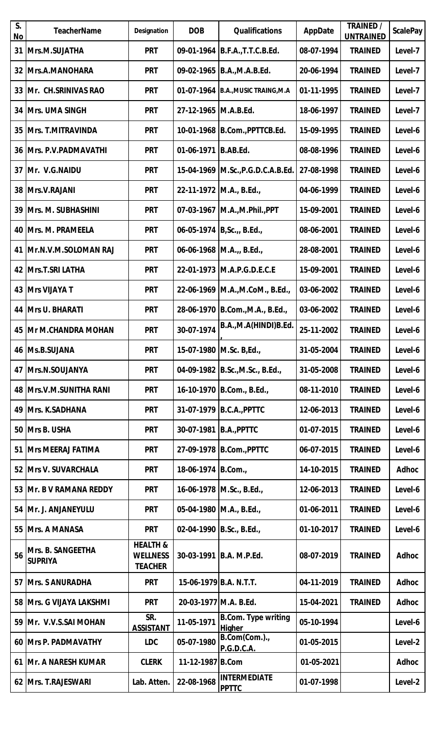| S.<br><b>No</b> | <b>TeacherName</b>                         | <b>Designation</b>                                       | <b>DOB</b>               | <b>Qualifications</b>                       | <b>AppDate</b> | <b>TRAINED /</b><br><b>UNTRAINED</b> | <b>ScalePay</b> |
|-----------------|--------------------------------------------|----------------------------------------------------------|--------------------------|---------------------------------------------|----------------|--------------------------------------|-----------------|
| 31              | Mrs.M.SUJATHA                              | <b>PRT</b>                                               |                          | 09-01-1964   B.F.A., T.T.C.B.Ed.            | 08-07-1994     | <b>TRAINED</b>                       | Level-7         |
| 32              | <b>IMrs.A.MANOHARA</b>                     | <b>PRT</b>                                               |                          | 09-02-1965 B.A., M.A.B.Ed.                  | 20-06-1994     | <b>TRAINED</b>                       | Level-7         |
| 33              | <b>Mr. CH.SRINIVAS RAO</b>                 | <b>PRT</b>                                               | 01-07-1964               | <b>B.A., MUSIC TRAING, M.A.</b>             | 01-11-1995     | <b>TRAINED</b>                       | Level-7         |
| 34              | <b>Mrs. UMA SINGH</b>                      | <b>PRT</b>                                               | 27-12-1965 M.A.B.Ed.     |                                             | 18-06-1997     | <b>TRAINED</b>                       | Level-7         |
| 35              | <b>Mrs. T.MITRAVINDA</b>                   | <b>PRT</b>                                               |                          | 10-01-1968 B.Com., PPTTCB.Ed.               | 15-09-1995     | <b>TRAINED</b>                       | Level-6         |
| 36              | <b>IMrs. P.V.PADMAVATHI</b>                | <b>PRT</b>                                               | 01-06-1971 B.AB.Ed.      |                                             | 08-08-1996     | <b>TRAINED</b>                       | Level-6         |
| 37              | Mr. V.G.NAIDU                              | <b>PRT</b>                                               |                          | 15-04-1969 M.Sc., P.G.D.C.A.B.Ed.           | 27-08-1998     | <b>TRAINED</b>                       | Level-6         |
| 38              | <b>Mrs.V.RAJANI</b>                        | <b>PRT</b>                                               | 22-11-1972 M.A., B.Ed.,  |                                             | 04-06-1999     | <b>TRAINED</b>                       | Level-6         |
| 39              | <b>IMrs. M. SUBHASHINI</b>                 | <b>PRT</b>                                               |                          | 07-03-1967 M.A., M.Phil., PPT               | 15-09-2001     | <b>TRAINED</b>                       | Level-6         |
| 40              | <b>Mrs. M. PRAMEELA</b>                    | <b>PRT</b>                                               |                          | 06-05-1974   B, Sc., B. Ed.,                | 08-06-2001     | <b>TRAINED</b>                       | Level-6         |
| 41              | Mr.N.V.M.SOLOMAN RAJ                       | <b>PRT</b>                                               |                          | 06-06-1968   M.A., B.Ed.,                   | 28-08-2001     | <b>TRAINED</b>                       | Level-6         |
| 42              | <b>Mrs.T.SRI LATHA</b>                     | <b>PRT</b>                                               |                          | 22-01-1973 M.A.P.G.D.E.C.E                  | 15-09-2001     | <b>TRAINED</b>                       | Level-6         |
| 43              | <b>Mrs VIJAYA T</b>                        | <b>PRT</b>                                               |                          | 22-06-1969   M.A., M.CoM., B.Ed.,           | 03-06-2002     | <b>TRAINED</b>                       | Level-6         |
| 44              | <b>Mrs U. BHARATI</b>                      | <b>PRT</b>                                               |                          | 28-06-1970 B.Com., M.A., B.Ed.,             | 03-06-2002     | <b>TRAINED</b>                       | Level-6         |
| 45              | <b>Mr M.CHANDRA MOHAN</b>                  | <b>PRT</b>                                               | 30-07-1974               | B.A., M.A(HINDI) B.Ed.                      | 25-11-2002     | <b>TRAINED</b>                       | Level-6         |
|                 | 46 Ms.B.SUJANA                             | <b>PRT</b>                                               |                          | 15-07-1980   M.Sc. B, Ed.,                  | 31-05-2004     | <b>TRAINED</b>                       | Level-6         |
| 47              | <b>Mrs.N.SOUJANYA</b>                      | <b>PRT</b>                                               |                          | 04-09-1982 B.Sc., M.Sc., B.Ed.,             | 31-05-2008     | <b>TRAINED</b>                       | Level-6         |
| 48              | <b>Mrs.V.M.SUNITHA RANI</b>                | <b>PRT</b>                                               |                          | 16-10-1970 B.Com., B.Ed.,                   | 08-11-2010     | <b>TRAINED</b>                       | Level-6         |
|                 | 49 Mrs. K.SADHANA                          | <b>PRT</b>                                               |                          | 31-07-1979 B.C.A., PPTTC                    | 12-06-2013     | <b>TRAINED</b>                       | Level-6         |
|                 | 50 Mrs B. USHA                             | <b>PRT</b>                                               | 30-07-1981 B.A., PPTTC   |                                             | 01-07-2015     | <b>TRAINED</b>                       | Level-6         |
| 51              | <b>Mrs MEERAJ FATIMA</b>                   | <b>PRT</b>                                               |                          | 27-09-1978 B.Com., PPTTC                    | 06-07-2015     | <b>TRAINED</b>                       | Level-6         |
|                 | 52   Mrs V. SUVARCHALA                     | <b>PRT</b>                                               | 18-06-1974 B.Com.,       |                                             | 14-10-2015     | <b>TRAINED</b>                       | <b>Adhoc</b>    |
| 53              | <b>Mr. B V RAMANA REDDY</b>                | <b>PRT</b>                                               |                          | 16-06-1978   M.Sc., B.Ed.,                  | 12-06-2013     | <b>TRAINED</b>                       | Level-6         |
|                 | 54   Mr. J. ANJANEYULU                     | <b>PRT</b>                                               | 05-04-1980 M.A., B.Ed.,  |                                             | 01-06-2011     | <b>TRAINED</b>                       | Level-6         |
|                 | 55   Mrs. A MANASA                         | <b>PRT</b>                                               | 02-04-1990 B.Sc., B.Ed., |                                             | 01-10-2017     | <b>TRAINED</b>                       | Level-6         |
| 56              | <b>Mrs. B. SANGEETHA</b><br><b>SUPRIYA</b> | <b>HEALTH &amp;</b><br><b>WELLNESS</b><br><b>TEACHER</b> |                          | 30-03-1991   B.A. M.P.Ed.                   | 08-07-2019     | <b>TRAINED</b>                       | <b>Adhoc</b>    |
|                 | 57   Mrs. S ANURADHA                       | <b>PRT</b>                                               | 15-06-1979 B.A. N.T.T.   |                                             | 04-11-2019     | <b>TRAINED</b>                       | <b>Adhoc</b>    |
| 58              | <b>Mrs. G VIJAYA LAKSHMI</b>               | <b>PRT</b>                                               | 20-03-1977 M.A. B.Ed.    |                                             | 15-04-2021     | <b>TRAINED</b>                       | <b>Adhoc</b>    |
|                 | 59 Mr. V.V.S.SAI MOHAN                     | SR.<br><b>ASSISTANT</b>                                  | 11-05-1971               | <b>B.Com. Type writing</b><br><b>Higher</b> | 05-10-1994     |                                      | Level-6         |
|                 | 60 Mrs P. PADMAVATHY                       | <b>LDC</b>                                               | 05-07-1980               | B.Com(Com.).,<br>P.G.D.C.A.                 | 01-05-2015     |                                      | Level-2         |
|                 | 61 Mr. A NARESH KUMAR                      | <b>CLERK</b>                                             | 11-12-1987 B.Com         |                                             | 01-05-2021     |                                      | <b>Adhoc</b>    |
|                 | 62   Mrs. T.RAJESWARI                      | Lab. Atten.                                              | 22-08-1968               | <b>INTERMEDIATE</b><br><b>PPTTC</b>         | 01-07-1998     |                                      | Level-2         |